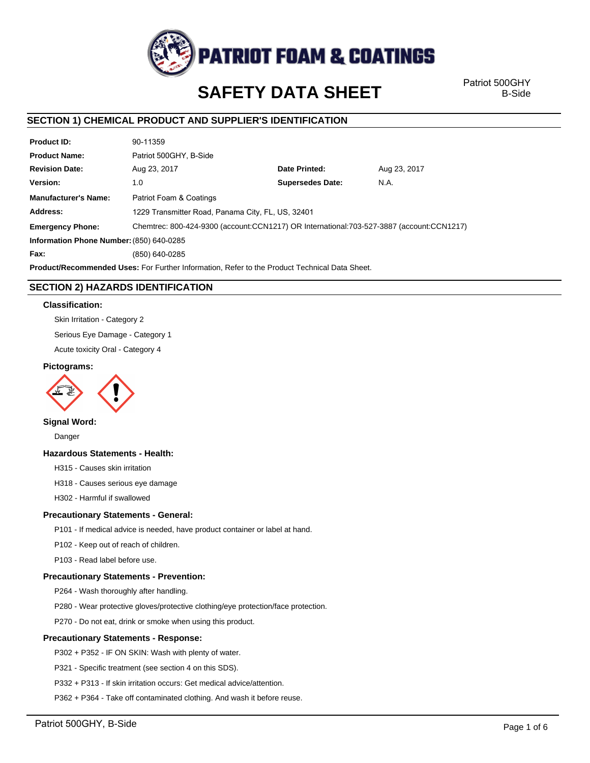

# **SAFETY DATA SHEET**

Patriot 500GHY B-Side

# **SECTION 1) CHEMICAL PRODUCT AND SUPPLIER'S IDENTIFICATION**

| <b>Product ID:</b>                                                                                   | 90-11359                                                                                 |                         |              |  |
|------------------------------------------------------------------------------------------------------|------------------------------------------------------------------------------------------|-------------------------|--------------|--|
| <b>Product Name:</b>                                                                                 | Patriot 500GHY, B-Side                                                                   |                         |              |  |
| <b>Revision Date:</b>                                                                                | Aug 23, 2017                                                                             | Date Printed:           | Aug 23, 2017 |  |
| Version:                                                                                             | 1.0                                                                                      | <b>Supersedes Date:</b> | N.A.         |  |
| <b>Manufacturer's Name:</b>                                                                          | Patriot Foam & Coatings                                                                  |                         |              |  |
| Address:                                                                                             | 1229 Transmitter Road, Panama City, FL, US, 32401                                        |                         |              |  |
| <b>Emergency Phone:</b>                                                                              | Chemtrec: 800-424-9300 (account:CCN1217) OR International:703-527-3887 (account:CCN1217) |                         |              |  |
| Information Phone Number: (850) 640-0285                                                             |                                                                                          |                         |              |  |
| Fax:                                                                                                 | (850) 640-0285                                                                           |                         |              |  |
| <b>Product/Recommended Uses:</b> For Further Information, Refer to the Product Technical Data Sheet. |                                                                                          |                         |              |  |

# **SECTION 2) HAZARDS IDENTIFICATION**

#### **Classification:**

Skin Irritation - Category 2

Serious Eye Damage - Category 1

Acute toxicity Oral - Category 4

#### **Pictograms:**



### **Signal Word:**

Danger

#### **Hazardous Statements - Health:**

H315 - Causes skin irritation

H318 - Causes serious eye damage

H302 - Harmful if swallowed

#### **Precautionary Statements - General:**

P101 - If medical advice is needed, have product container or label at hand.

P102 - Keep out of reach of children.

P103 - Read label before use.

#### **Precautionary Statements - Prevention:**

P264 - Wash thoroughly after handling.

P280 - Wear protective gloves/protective clothing/eye protection/face protection.

P270 - Do not eat, drink or smoke when using this product.

#### **Precautionary Statements - Response:**

P302 + P352 - IF ON SKIN: Wash with plenty of water.

P321 - Specific treatment (see section 4 on this SDS).

P332 + P313 - If skin irritation occurs: Get medical advice/attention.

P362 + P364 - Take off contaminated clothing. And wash it before reuse.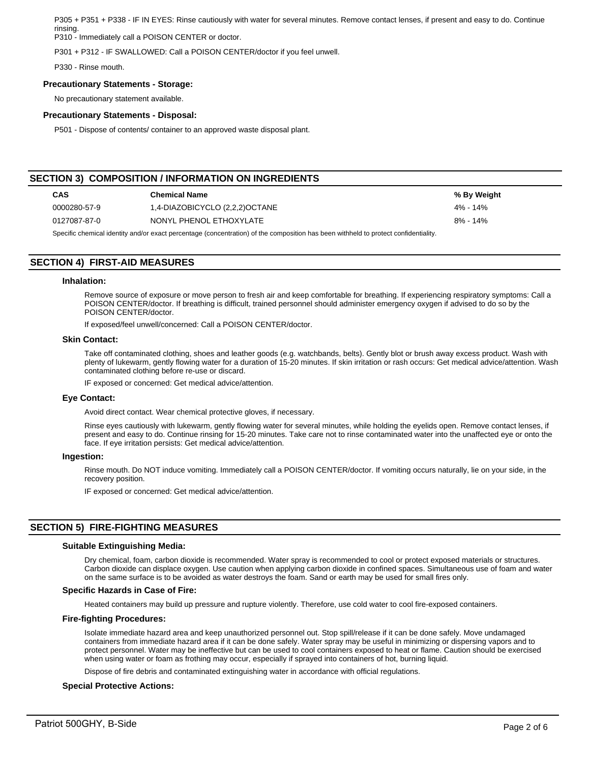P305 + P351 + P338 - IF IN EYES: Rinse cautiously with water for several minutes. Remove contact lenses, if present and easy to do. Continue rinsing.

P310 - Immediately call a POISON CENTER or doctor.

P301 + P312 - IF SWALLOWED: Call a POISON CENTER/doctor if you feel unwell.

P330 - Rinse mouth.

#### **Precautionary Statements - Storage:**

No precautionary statement available.

#### **Precautionary Statements - Disposal:**

P501 - Dispose of contents/ container to an approved waste disposal plant.

# **SECTION 3) COMPOSITION / INFORMATION ON INGREDIENTS**

| <b>CAS</b>   | <b>Chemical Name</b>           | % By Weight |
|--------------|--------------------------------|-------------|
| 0000280-57-9 | 1,4-DIAZOBICYCLO (2,2,2)OCTANE | 4% - 14%    |
| 0127087-87-0 | NONYL PHENOL ETHOXYLATE        | 8% - 14%    |

Specific chemical identity and/or exact percentage (concentration) of the composition has been withheld to protect confidentiality.

# **SECTION 4) FIRST-AID MEASURES**

#### **Inhalation:**

Remove source of exposure or move person to fresh air and keep comfortable for breathing. If experiencing respiratory symptoms: Call a POISON CENTER/doctor. If breathing is difficult, trained personnel should administer emergency oxygen if advised to do so by the POISON CENTER/doctor.

If exposed/feel unwell/concerned: Call a POISON CENTER/doctor.

#### **Skin Contact:**

Take off contaminated clothing, shoes and leather goods (e.g. watchbands, belts). Gently blot or brush away excess product. Wash with plenty of lukewarm, gently flowing water for a duration of 15-20 minutes. If skin irritation or rash occurs: Get medical advice/attention. Wash contaminated clothing before re-use or discard.

IF exposed or concerned: Get medical advice/attention.

#### **Eye Contact:**

Avoid direct contact. Wear chemical protective gloves, if necessary.

Rinse eyes cautiously with lukewarm, gently flowing water for several minutes, while holding the eyelids open. Remove contact lenses, if present and easy to do. Continue rinsing for 15-20 minutes. Take care not to rinse contaminated water into the unaffected eye or onto the face. If eye irritation persists: Get medical advice/attention.

#### **Ingestion:**

Rinse mouth. Do NOT induce vomiting. Immediately call a POISON CENTER/doctor. If vomiting occurs naturally, lie on your side, in the recovery position.

IF exposed or concerned: Get medical advice/attention.

# **SECTION 5) FIRE-FIGHTING MEASURES**

#### **Suitable Extinguishing Media:**

Dry chemical, foam, carbon dioxide is recommended. Water spray is recommended to cool or protect exposed materials or structures. Carbon dioxide can displace oxygen. Use caution when applying carbon dioxide in confined spaces. Simultaneous use of foam and water on the same surface is to be avoided as water destroys the foam. Sand or earth may be used for small fires only.

#### **Specific Hazards in Case of Fire:**

Heated containers may build up pressure and rupture violently. Therefore, use cold water to cool fire-exposed containers.

#### **Fire-fighting Procedures:**

Isolate immediate hazard area and keep unauthorized personnel out. Stop spill/release if it can be done safely. Move undamaged containers from immediate hazard area if it can be done safely. Water spray may be useful in minimizing or dispersing vapors and to protect personnel. Water may be ineffective but can be used to cool containers exposed to heat or flame. Caution should be exercised when using water or foam as frothing may occur, especially if sprayed into containers of hot, burning liquid.

Dispose of fire debris and contaminated extinguishing water in accordance with official regulations.

#### **Special Protective Actions:**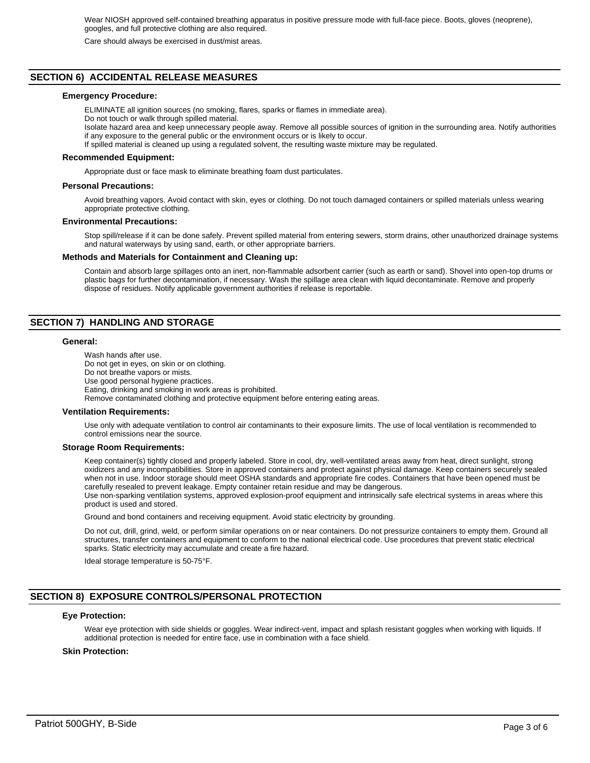Wear NIOSH approved self-contained breathing apparatus in positive pressure mode with full-face piece. Boots, gloves (neoprene), googles, and full protective clothing are also required.

Care should always be exercised in dust/mist areas.

# **SECTION 6) ACCIDENTAL RELEASE MEASURES**

#### **Emergency Procedure:**

ELIMINATE all ignition sources (no smoking, flares, sparks or flames in immediate area). Do not touch or walk through spilled material.

Isolate hazard area and keep unnecessary people away. Remove all possible sources of ignition in the surrounding area. Notify authorities if any exposure to the general public or the environment occurs or is likely to occur.

If spilled material is cleaned up using a regulated solvent, the resulting waste mixture may be regulated.

#### **Recommended Equipment:**

Appropriate dust or face mask to eliminate breathing foam dust particulates.

#### **Personal Precautions:**

Avoid breathing vapors. Avoid contact with skin, eyes or clothing. Do not touch damaged containers or spilled materials unless wearing appropriate protective clothing.

#### **Environmental Precautions:**

Stop spill/release if it can be done safely. Prevent spilled material from entering sewers, storm drains, other unauthorized drainage systems and natural waterways by using sand, earth, or other appropriate barriers.

#### **Methods and Materials for Containment and Cleaning up:**

Contain and absorb large spillages onto an inert, non-flammable adsorbent carrier (such as earth or sand). Shovel into open-top drums or plastic bags for further decontamination, if necessary. Wash the spillage area clean with liquid decontaminate. Remove and properly dispose of residues. Notify applicable government authorities if release is reportable.

# **SECTION 7) HANDLING AND STORAGE**

#### **General:**

Wash hands after use. Do not get in eyes, on skin or on clothing. Do not breathe vapors or mists. Use good personal hygiene practices. Eating, drinking and smoking in work areas is prohibited. Remove contaminated clothing and protective equipment before entering eating areas.

#### **Ventilation Requirements:**

Use only with adequate ventilation to control air contaminants to their exposure limits. The use of local ventilation is recommended to control emissions near the source.

#### **Storage Room Requirements:**

Keep container(s) tightly closed and properly labeled. Store in cool, dry, well-ventilated areas away from heat, direct sunlight, strong oxidizers and any incompatibilities. Store in approved containers and protect against physical damage. Keep containers securely sealed when not in use. Indoor storage should meet OSHA standards and appropriate fire codes. Containers that have been opened must be carefully resealed to prevent leakage. Empty container retain residue and may be dangerous. Use non-sparking ventilation systems, approved explosion-proof equipment and intrinsically safe electrical systems in areas where this

product is used and stored.

Ground and bond containers and receiving equipment. Avoid static electricity by grounding.

Do not cut, drill, grind, weld, or perform similar operations on or near containers. Do not pressurize containers to empty them. Ground all structures, transfer containers and equipment to conform to the national electrical code. Use procedures that prevent static electrical sparks. Static electricity may accumulate and create a fire hazard.

Ideal storage temperature is 50-75°F.

# **SECTION 8) EXPOSURE CONTROLS/PERSONAL PROTECTION**

#### **Eye Protection:**

Wear eye protection with side shields or goggles. Wear indirect-vent, impact and splash resistant goggles when working with liquids. If additional protection is needed for entire face, use in combination with a face shield.

#### **Skin Protection:**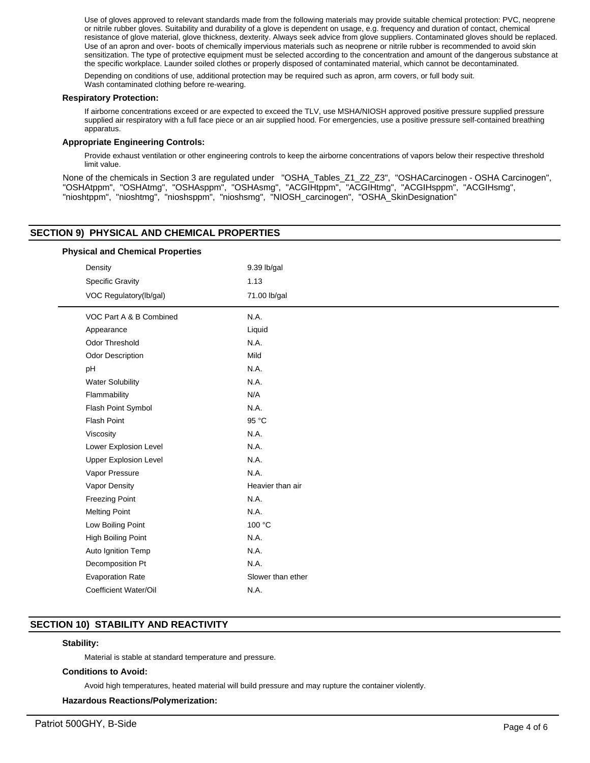Use of gloves approved to relevant standards made from the following materials may provide suitable chemical protection: PVC, neoprene or nitrile rubber gloves. Suitability and durability of a glove is dependent on usage, e.g. frequency and duration of contact, chemical resistance of glove material, glove thickness, dexterity. Always seek advice from glove suppliers. Contaminated gloves should be replaced. Use of an apron and over- boots of chemically impervious materials such as neoprene or nitrile rubber is recommended to avoid skin sensitization. The type of protective equipment must be selected according to the concentration and amount of the dangerous substance at the specific workplace. Launder soiled clothes or properly disposed of contaminated material, which cannot be decontaminated.

Depending on conditions of use, additional protection may be required such as apron, arm covers, or full body suit. Wash contaminated clothing before re-wearing.

#### **Respiratory Protection:**

If airborne concentrations exceed or are expected to exceed the TLV, use MSHA/NIOSH approved positive pressure supplied pressure supplied air respiratory with a full face piece or an air supplied hood. For emergencies, use a positive pressure self-contained breathing apparatus.

#### **Appropriate Engineering Controls:**

Provide exhaust ventilation or other engineering controls to keep the airborne concentrations of vapors below their respective threshold limit value.

None of the chemicals in Section 3 are regulated under "OSHA\_Tables\_Z1\_Z2\_Z3", "OSHACarcinogen - OSHA Carcinogen", "OSHAtppm", "OSHAtmg", "OSHAsppm", "OSHAsmg", "ACGIHtppm", "ACGIHtmg", "ACGIHsppm", "ACGIHsmg", "nioshtppm", "nioshtmg", "nioshsppm", "nioshsmg", "NIOSH\_carcinogen", "OSHA\_SkinDesignation"

# **SECTION 9) PHYSICAL AND CHEMICAL PROPERTIES**

|         | <b>Physical and Chemical Properties</b> |                   |  |  |  |
|---------|-----------------------------------------|-------------------|--|--|--|
| Density |                                         | 9.39 lb/gal       |  |  |  |
|         | <b>Specific Gravity</b>                 | 1.13              |  |  |  |
|         | VOC Regulatory(lb/gal)                  | 71.00 lb/gal      |  |  |  |
|         | VOC Part A & B Combined                 | N.A.              |  |  |  |
|         | Appearance                              | Liquid            |  |  |  |
|         | <b>Odor Threshold</b>                   | N.A.              |  |  |  |
|         | <b>Odor Description</b>                 | Mild              |  |  |  |
|         | pH                                      | N.A.              |  |  |  |
|         | <b>Water Solubility</b>                 | N.A.              |  |  |  |
|         | Flammability                            | N/A               |  |  |  |
|         | Flash Point Symbol                      | N.A.              |  |  |  |
|         | <b>Flash Point</b>                      | 95 °C             |  |  |  |
|         | Viscosity                               | N.A.              |  |  |  |
|         | Lower Explosion Level                   | N.A.              |  |  |  |
|         | <b>Upper Explosion Level</b>            | N.A.              |  |  |  |
|         | Vapor Pressure                          | N.A.              |  |  |  |
|         | Vapor Density                           | Heavier than air  |  |  |  |
|         | <b>Freezing Point</b>                   | N.A.              |  |  |  |
|         | <b>Melting Point</b>                    | N.A.              |  |  |  |
|         | Low Boiling Point                       | 100 °C            |  |  |  |
|         | High Boiling Point                      | N.A.              |  |  |  |
|         | Auto Ignition Temp                      | N.A.              |  |  |  |
|         | Decomposition Pt                        | N.A.              |  |  |  |
|         | <b>Evaporation Rate</b>                 | Slower than ether |  |  |  |
|         | Coefficient Water/Oil                   | N.A.              |  |  |  |

# **SECTION 10) STABILITY AND REACTIVITY**

#### **Stability:**

Material is stable at standard temperature and pressure.

### **Conditions to Avoid:**

Avoid high temperatures, heated material will build pressure and may rupture the container violently.

#### **Hazardous Reactions/Polymerization:**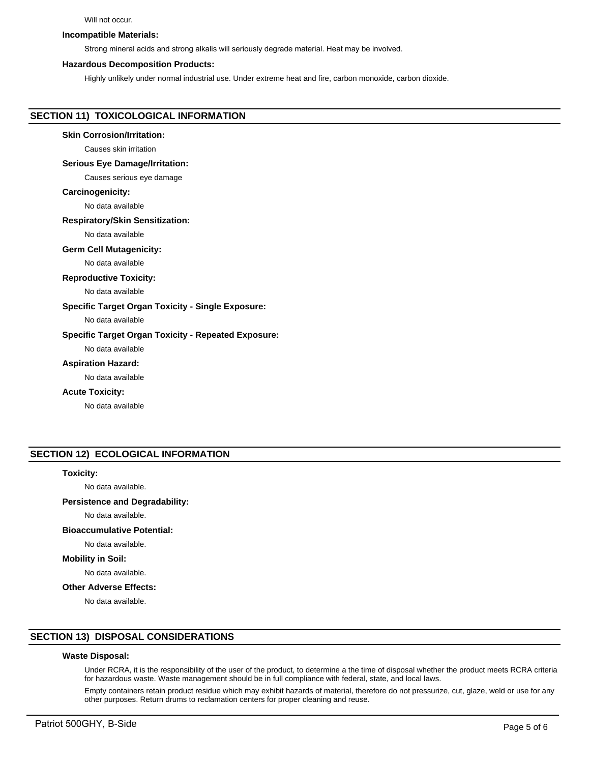#### Will not occur.

#### **Incompatible Materials:**

Strong mineral acids and strong alkalis will seriously degrade material. Heat may be involved.

#### **Hazardous Decomposition Products:**

Highly unlikely under normal industrial use. Under extreme heat and fire, carbon monoxide, carbon dioxide.

# **SECTION 11) TOXICOLOGICAL INFORMATION**

#### **Skin Corrosion/Irritation:**

Causes skin irritation

#### **Serious Eye Damage/Irritation:**

Causes serious eye damage

#### **Carcinogenicity:**

No data available

#### **Respiratory/Skin Sensitization:**

No data available

#### **Germ Cell Mutagenicity:**

No data available

#### **Reproductive Toxicity:**

No data available

### **Specific Target Organ Toxicity - Single Exposure:**

No data available

### **Specific Target Organ Toxicity - Repeated Exposure:**

No data available

#### **Aspiration Hazard:**

No data available

#### **Acute Toxicity:**

No data available

# **SECTION 12) ECOLOGICAL INFORMATION**

#### **Toxicity:**

No data available.

# **Persistence and Degradability:**

No data available.

# **Bioaccumulative Potential:**

No data available.

#### **Mobility in Soil:**

No data available.

#### **Other Adverse Effects:**

No data available.

# **SECTION 13) DISPOSAL CONSIDERATIONS**

#### **Waste Disposal:**

Under RCRA, it is the responsibility of the user of the product, to determine a the time of disposal whether the product meets RCRA criteria for hazardous waste. Waste management should be in full compliance with federal, state, and local laws.

Empty containers retain product residue which may exhibit hazards of material, therefore do not pressurize, cut, glaze, weld or use for any other purposes. Return drums to reclamation centers for proper cleaning and reuse.